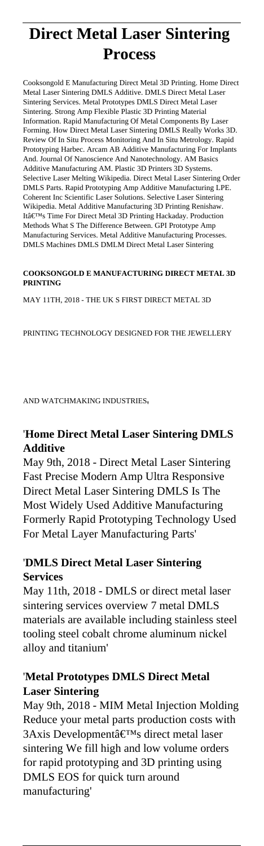# **Direct Metal Laser Sintering Process**

Cooksongold E Manufacturing Direct Metal 3D Printing. Home Direct Metal Laser Sintering DMLS Additive. DMLS Direct Metal Laser Sintering Services. Metal Prototypes DMLS Direct Metal Laser Sintering. Strong Amp Flexible Plastic 3D Printing Material Information. Rapid Manufacturing Of Metal Components By Laser Forming. How Direct Metal Laser Sintering DMLS Really Works 3D. Review Of In Situ Process Monitoring And In Situ Metrology. Rapid Prototyping Harbec. Arcam AB Additive Manufacturing For Implants And. Journal Of Nanoscience And Nanotechnology. AM Basics Additive Manufacturing AM. Plastic 3D Printers 3D Systems. Selective Laser Melting Wikipedia. Direct Metal Laser Sintering Order DMLS Parts. Rapid Prototyping Amp Additive Manufacturing LPE. Coherent Inc Scientific Laser Solutions. Selective Laser Sintering Wikipedia. Metal Additive Manufacturing 3D Printing Renishaw. It's Time For Direct Metal 3D Printing Hackaday. Production Methods What S The Difference Between. GPI Prototype Amp Manufacturing Services. Metal Additive Manufacturing Processes. DMLS Machines DMLS DMLM Direct Metal Laser Sintering

#### **COOKSONGOLD E MANUFACTURING DIRECT METAL 3D PRINTING**

MAY 11TH, 2018 - THE UK S FIRST DIRECT METAL 3D

PRINTING TECHNOLOGY DESIGNED FOR THE JEWELLERY

AND WATCHMAKING INDUSTRIES'

#### '**Home Direct Metal Laser Sintering DMLS Additive**

May 9th, 2018 - Direct Metal Laser Sintering Fast Precise Modern Amp Ultra Responsive Direct Metal Laser Sintering DMLS Is The Most Widely Used Additive Manufacturing Formerly Rapid Prototyping Technology Used For Metal Layer Manufacturing Parts'

## '**DMLS Direct Metal Laser Sintering Services**

May 11th, 2018 - DMLS or direct metal laser sintering services overview 7 metal DMLS materials are available including stainless steel tooling steel cobalt chrome aluminum nickel alloy and titanium'

### '**Metal Prototypes DMLS Direct Metal Laser Sintering**

May 9th, 2018 - MIM Metal Injection Molding Reduce your metal parts production costs with 3Axis Development's direct metal laser sintering We fill high and low volume orders for rapid prototyping and 3D printing using DMLS EOS for quick turn around manufacturing'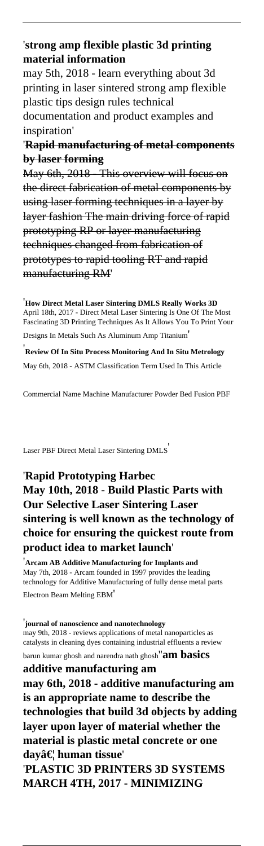#### '**strong amp flexible plastic 3d printing material information**

may 5th, 2018 - learn everything about 3d printing in laser sintered strong amp flexible plastic tips design rules technical documentation and product examples and inspiration'

#### '**Rapid manufacturing of metal components by laser forming**

May 6th, 2018 - This overview will focus on the direct fabrication of metal components by using laser forming techniques in a layer by layer fashion The main driving force of rapid prototyping RP or layer manufacturing techniques changed from fabrication of prototypes to rapid tooling RT and rapid manufacturing RM'

'**How Direct Metal Laser Sintering DMLS Really Works 3D** April 18th, 2017 - Direct Metal Laser Sintering Is One Of The Most Fascinating 3D Printing Techniques As It Allows You To Print Your Designs In Metals Such As Aluminum Amp Titanium'

'**Review Of In Situ Process Monitoring And In Situ Metrology** May 6th, 2018 - ASTM Classification Term Used In This Article

Commercial Name Machine Manufacturer Powder Bed Fusion PBF

Laser PBF Direct Metal Laser Sintering DMLS'

# '**Rapid Prototyping Harbec May 10th, 2018 - Build Plastic Parts with Our Selective Laser Sintering Laser sintering is well known as the technology of choice for ensuring the quickest route from product idea to market launch**'

'**Arcam AB Additive Manufacturing for Implants and** May 7th, 2018 - Arcam founded in 1997 provides the leading technology for Additive Manufacturing of fully dense metal parts Electron Beam Melting EBM'

'**journal of nanoscience and nanotechnology** may 9th, 2018 - reviews applications of metal nanoparticles as catalysts in cleaning dyes containing industrial effluents a review barun kumar ghosh and narendra nath ghosh''**am basics**

**additive manufacturing am may 6th, 2018 - additive manufacturing am is an appropriate name to describe the technologies that build 3d objects by adding layer upon layer of material whether the material is plastic metal concrete or one day… human tissue**'

'**PLASTIC 3D PRINTERS 3D SYSTEMS MARCH 4TH, 2017 - MINIMIZING**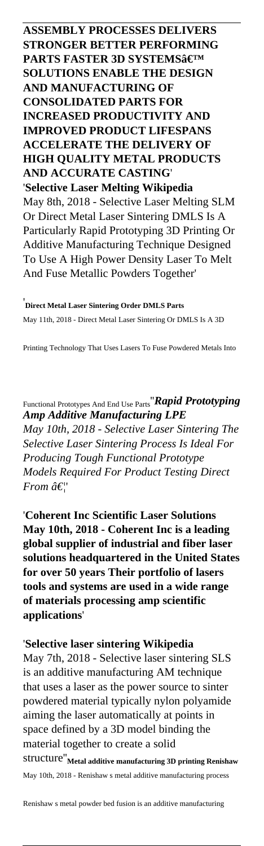**ASSEMBLY PROCESSES DELIVERS STRONGER BETTER PERFORMING PARTS FASTER 3D SYSTEMS' SOLUTIONS ENABLE THE DESIGN AND MANUFACTURING OF CONSOLIDATED PARTS FOR INCREASED PRODUCTIVITY AND IMPROVED PRODUCT LIFESPANS ACCELERATE THE DELIVERY OF HIGH QUALITY METAL PRODUCTS AND ACCURATE CASTING**' '**Selective Laser Melting Wikipedia** May 8th, 2018 - Selective Laser Melting SLM Or Direct Metal Laser Sintering DMLS Is A Particularly Rapid Prototyping 3D Printing Or Additive Manufacturing Technique Designed To Use A High Power Density Laser To Melt And Fuse Metallic Powders Together'

'**Direct Metal Laser Sintering Order DMLS Parts** May 11th, 2018 - Direct Metal Laser Sintering Or DMLS Is A 3D

Printing Technology That Uses Lasers To Fuse Powdered Metals Into

Functional Prototypes And End Use Parts''*Rapid Prototyping Amp Additive Manufacturing LPE May 10th, 2018 - Selective Laser Sintering The Selective Laser Sintering Process Is Ideal For Producing Tough Functional Prototype Models Required For Product Testing Direct From â€*<sup>"</sup>

'**Coherent Inc Scientific Laser Solutions May 10th, 2018 - Coherent Inc is a leading global supplier of industrial and fiber laser solutions headquartered in the United States for over 50 years Their portfolio of lasers tools and systems are used in a wide range of materials processing amp scientific applications**'

#### '**Selective laser sintering Wikipedia**

May 7th, 2018 - Selective laser sintering SLS is an additive manufacturing AM technique that uses a laser as the power source to sinter powdered material typically nylon polyamide aiming the laser automatically at points in space defined by a 3D model binding the material together to create a solid structure''**Metal additive manufacturing 3D printing Renishaw** May 10th, 2018 - Renishaw s metal additive manufacturing process